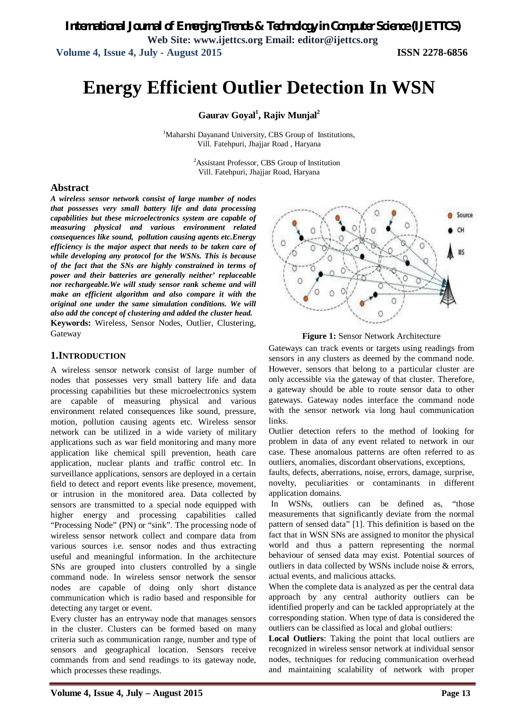*International Journal of Emerging Trends & Technology in Computer Science (IJETTCS)* **Web Site: www.ijettcs.org Email: editor@ijettcs.org Volume 4, Issue 4, July - August 2015 ISSN 2278-6856**

# **Energy Efficient Outlier Detection In WSN**

**Gaurav Goyal<sup>1</sup> , Rajiv Munjal<sup>2</sup>**

<sup>1</sup>Maharshi Dayanand University, CBS Group of Institutions, Vill. Fatehpuri, Jhajjar Road , Haryana

> <sup>2</sup>Assistant Professor, CBS Group of Institution Vill. Fatehpuri, Jhajjar Road, Haryana

#### **Abstract**

*A wireless sensor network consist of large number of nodes that possesses very small battery life and data processing capabilities but these microelectronics system are capable of measuring physical and various environment related consequences like sound, pollution causing agents etc.Energy efficiency is the major aspect that needs to be taken care of while developing any protocol for the WSNs. This is because of the fact that the SNs are highly constrained in terms of power and their batteries are generally neither' replaceable nor rechargeable.We will study sensor rank scheme and will make an efficient algorithm and also compare it with the original one under the same simulation conditions. We will also add the concept of clustering and added the cluster head.*  **Keywords:** Wireless, Sensor Nodes, Outlier, Clustering, Gateway

#### **1.INTRODUCTION**

A wireless sensor network consist of large number of nodes that possesses very small battery life and data processing capabilities but these microelectronics system are capable of measuring physical and various environment related consequences like sound, pressure, motion, pollution causing agents etc. Wireless sensor network can be utilized in a wide variety of military applications such as war field monitoring and many more application like chemical spill prevention, heath care application, nuclear plants and traffic control etc. In surveillance applications, sensors are deployed in a certain field to detect and report events like presence, movement, or intrusion in the monitored area. Data collected by sensors are transmitted to a special node equipped with higher energy and processing capabilities called "Processing Node" (PN) or "sink". The processing node of wireless sensor network collect and compare data from various sources i.e. sensor nodes and thus extracting useful and meaningful information. In the architecture SNs are grouped into clusters controlled by a single command node. In wireless sensor network the sensor nodes are capable of doing only short distance communication which is radio based and responsible for detecting any target or event.

Every cluster has an entryway node that manages sensors in the cluster. Clusters can be formed based on many criteria such as communication range, number and type of sensors and geographical location. Sensors receive commands from and send readings to its gateway node, which processes these readings.



**Figure 1:** Sensor Network Architecture

Gateways can track events or targets using readings from sensors in any clusters as deemed by the command node. However, sensors that belong to a particular cluster are only accessible via the gateway of that cluster. Therefore, a gateway should be able to route sensor data to other gateways. Gateway nodes interface the command node with the sensor network via long haul communication links.

Outlier detection refers to the method of looking for problem in data of any event related to network in our case. These anomalous patterns are often referred to as outliers, anomalies, discordant observations, exceptions,

faults, defects, aberrations, noise, errors, damage, surprise, novelty, peculiarities or contaminants in different application domains.

In WSNs, outliers can be defined as, "those measurements that significantly deviate from the normal pattern of sensed data" [1]. This definition is based on the fact that in WSN SNs are assigned to monitor the physical world and thus a pattern representing the normal behaviour of sensed data may exist. Potential sources of outliers in data collected by WSNs include noise & errors, actual events, and malicious attacks.

When the complete data is analyzed as per the central data approach by any central authority outliers can be identified properly and can be tackled appropriately at the corresponding station. When type of data is considered the outliers can be classified as local and global outliers:

**Local Outliers**: Taking the point that local outliers are recognized in wireless sensor network at individual sensor nodes, techniques for reducing communication overhead and maintaining scalability of network with proper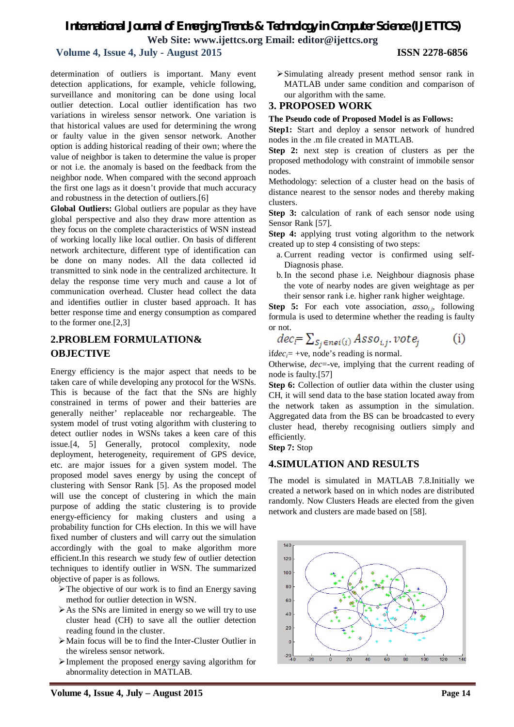# *International Journal of Emerging Trends & Technology in Computer Science (IJETTCS)*

**Web Site: www.ijettcs.org Email: editor@ijettcs.org** 

# **Volume 4, Issue 4, July - August 2015 ISSN 2278-6856**

determination of outliers is important. Many event detection applications, for example, vehicle following, surveillance and monitoring can be done using local outlier detection. Local outlier identification has two variations in wireless sensor network. One variation is that historical values are used for determining the wrong or faulty value in the given sensor network. Another option is adding historical reading of their own; where the value of neighbor is taken to determine the value is proper or not i.e. the anomaly is based on the feedback from the neighbor node. When compared with the second approach the first one lags as it doesn't provide that much accuracy and robustness in the detection of outliers.[6]

**Global Outliers:** Global outliers are popular as they have global perspective and also they draw more attention as they focus on the complete characteristics of WSN instead of working locally like local outlier. On basis of different network architecture, different type of identification can be done on many nodes. All the data collected id transmitted to sink node in the centralized architecture. It delay the response time very much and cause a lot of communication overhead. Cluster head collect the data and identifies outlier in cluster based approach. It has better response time and energy consumption as compared to the former one.[2,3]

# **2.PROBLEM FORMULATION& OBJECTIVE**

Energy efficiency is the major aspect that needs to be taken care of while developing any protocol for the WSNs. This is because of the fact that the SNs are highly constrained in terms of power and their batteries are generally neither' replaceable nor rechargeable. The system model of trust voting algorithm with clustering to detect outlier nodes in WSNs takes a keen care of this issue.[4, 5] Generally, protocol complexity, node deployment, heterogeneity, requirement of GPS device, etc. are major issues for a given system model. The proposed model saves energy by using the concept of clustering with Sensor Rank [5]. As the proposed model will use the concept of clustering in which the main purpose of adding the static clustering is to provide energy-efficiency for making clusters and using a probability function for CHs election. In this we will have fixed number of clusters and will carry out the simulation accordingly with the goal to make algorithm more efficient.In this research we study few of outlier detection techniques to identify outlier in WSN. The summarized objective of paper is as follows.

- The objective of our work is to find an Energy saving method for outlier detection in WSN.
- $\triangleright$  As the SNs are limited in energy so we will try to use cluster head (CH) to save all the outlier detection reading found in the cluster.
- Main focus will be to find the Inter-Cluster Outlier in the wireless sensor network.
- Implement the proposed energy saving algorithm for abnormality detection in MATLAB.

Simulating already present method sensor rank in MATLAB under same condition and comparison of our algorithm with the same.

## **3. PROPOSED WORK**

#### **The Pseudo code of Proposed Model is as Follows:**

**Step1:** Start and deploy a sensor network of hundred nodes in the .m file created in MATLAB.

**Step 2:** next step is creation of clusters as per the proposed methodology with constraint of immobile sensor nodes.

Methodology: selection of a cluster head on the basis of distance nearest to the sensor nodes and thereby making clusters.

**Step 3:** calculation of rank of each sensor node using Sensor Rank [57].

**Step 4:** applying trust voting algorithm to the network created up to step 4 consisting of two steps:

- a. Current reading vector is confirmed using self-Diagnosis phase.
- b.In the second phase i.e. Neighbour diagnosis phase the vote of nearby nodes are given weightage as per their sensor rank i.e. higher rank higher weightage.

**Step 5:** For each vote association, *assoi.j,* following formula is used to determine whether the reading is faulty or not.

$$
dec_i = \sum_{S_j \in \text{nei}(i)} Asso_{i,j}, \text{vote}_j \tag{i}
$$

if  $dec_i$  = +ve, node's reading is normal.

Otherwise, *dec*=-ve, implying that the current reading of node is faulty.[57]

**Step 6:** Collection of outlier data within the cluster using CH, it will send data to the base station located away from the network taken as assumption in the simulation. Aggregated data from the BS can be broadcasted to every cluster head, thereby recognising outliers simply and efficiently.

**Step 7:** Stop

## **4.SIMULATION AND RESULTS**

The model is simulated in MATLAB 7.8.Initially we created a network based on in which nodes are distributed randomly. Now Clusters Heads are elected from the given network and clusters are made based on [58].

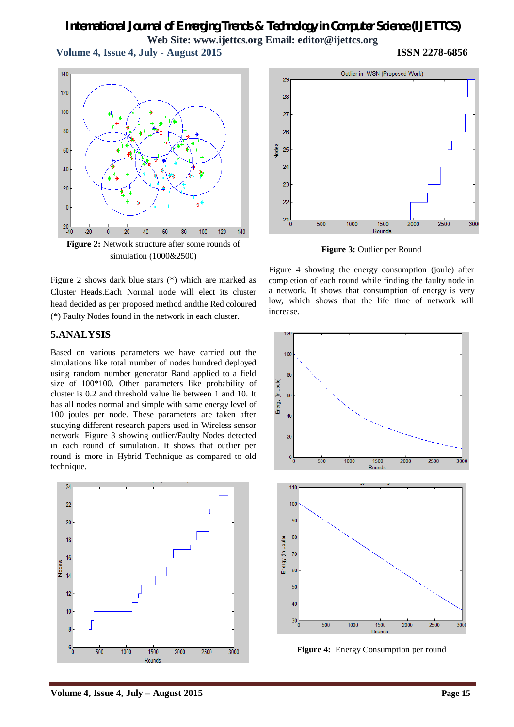# *International Journal of Emerging Trends & Technology in Computer Science (IJETTCS)* **Web Site: www.ijettcs.org Email: editor@ijettcs.org**

 **Volume 4, Issue 4, July - August 2015 ISSN 2278-6856**

 $140$  $120$ 100 80 60 40 20  $\mathfrak{c}$ –20<br>40–40  $\overline{20}$  $\overline{40}$  $\overline{100}$  $\frac{1}{120}$  $-20$  $\overline{0}$ 60 80  $140$ **Figure 2:** Network structure after some rounds of

Figure 2 shows dark blue stars (\*) which are marked as Cluster Heads.Each Normal node will elect its cluster head decided as per proposed method andthe Red coloured (\*) Faulty Nodes found in the network in each cluster.

simulation (1000&2500)

#### **5.ANALYSIS**

Based on various parameters we have carried out the simulations like total number of nodes hundred deployed using random number generator Rand applied to a field size of 100\*100. Other parameters like probability of cluster is 0.2 and threshold value lie between 1 and 10. It has all nodes normal and simple with same energy level of 100 joules per node. These parameters are taken after studying different research papers used in Wireless sensor network. Figure 3 showing outlier/Faulty Nodes detected in each round of simulation. It shows that outlier per round is more in Hybrid Technique as compared to old technique.





**Figure 3:** Outlier per Round

Figure 4 showing the energy consumption (joule) after completion of each round while finding the faulty node in a network. It shows that consumption of energy is very low, which shows that the life time of network will increase.



**Figure 4:** Energy Consumption per round

**Volume 4, Issue 4, July – August 2015 Page 15**